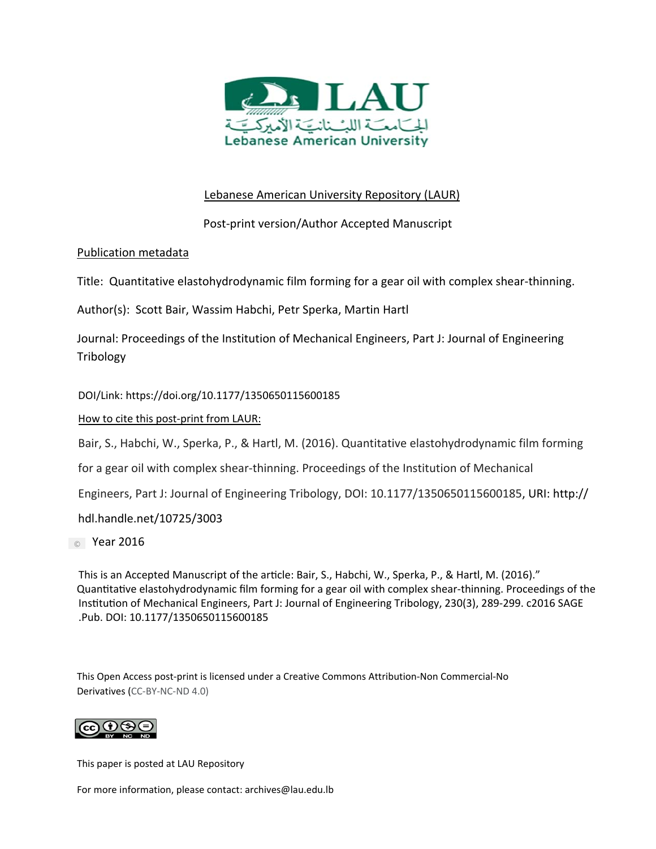

# Lebanese American University Repository (LAUR)

Post‐print version/Author Accepted Manuscript

# Publication metadata

Title: Quantitative elastohydrodynamic film forming for a gear oil with complex shear‐thinning.

Author(s): Scott Bair, Wassim Habchi, Petr Sperka, Martin Hartl

Journal: Proceedings of the Institution of Mechanical Engineers, Part J: Journal of Engineering Tribology

DOI/Link: https://doi.org/10.1177/1350650115600185

# How to cite this post-print from LAUR:

Bair, S., Habchi, W., Sperka, P., & Hartl, M. (2016). Quantitative elastohydrodynamic film forming

for a gear oil with complex shear-thinning. Proceedings of the Institution of Mechanical

Engineers, Part J: Journal of Engineering Tribology, DOI: 10.1177/1350650115600185, URI: http://

hdl.handle.net/10725/3003

**Compare 2016** 

 This is an Accepted Manuscript of the article: Bair, S., Habchi, W., Sperka, P., & Hartl, M. (2016)." Quantitative elastohydrodynamic film forming for a gear oil with complex shear-thinning. Proceedings of the Institution of Mechanical Engineers, Part J: Journal of Engineering Tribology, 230(3), 289-299. c2016 SAGE .Pub. DOI: 10.1177/1350650115600185

This Open Access post‐print is licensed under a Creative Commons Attribution‐Non Commercial‐No Derivatives (CC‐BY‐NC‐ND 4.0)



This paper is posted at LAU Repository

For more information, please contact: archives@lau.edu.lb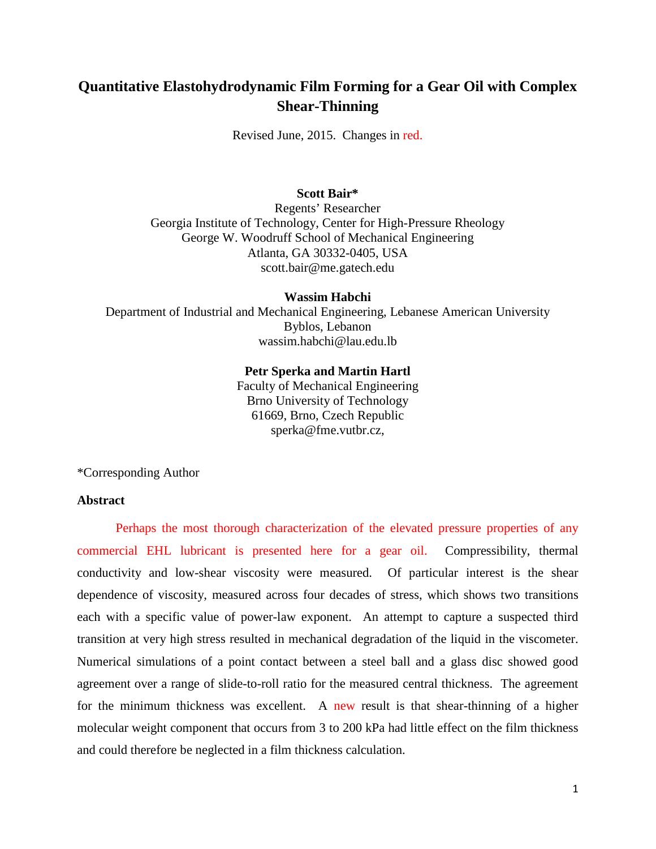# **Quantitative Elastohydrodynamic Film Forming for a Gear Oil with Complex Shear-Thinning**

Revised June, 2015. Changes in red.

## **Scott Bair\***

Regents' Researcher Georgia Institute of Technology, Center for High-Pressure Rheology George W. Woodruff School of Mechanical Engineering Atlanta, GA 30332-0405, USA scott.bair@me.gatech.edu

#### **Wassim Habchi**

Department of Industrial and Mechanical Engineering, Lebanese American University Byblos, Lebanon wassim.habchi@lau.edu.lb

#### **Petr Sperka and Martin Hartl**

Faculty of Mechanical Engineering Brno University of Technology 61669, Brno, Czech Republic sperka@fme.vutbr.cz,

\*Corresponding Author

## **Abstract**

Perhaps the most thorough characterization of the elevated pressure properties of any commercial EHL lubricant is presented here for a gear oil. Compressibility, thermal conductivity and low-shear viscosity were measured. Of particular interest is the shear dependence of viscosity, measured across four decades of stress, which shows two transitions each with a specific value of power-law exponent. An attempt to capture a suspected third transition at very high stress resulted in mechanical degradation of the liquid in the viscometer. Numerical simulations of a point contact between a steel ball and a glass disc showed good agreement over a range of slide-to-roll ratio for the measured central thickness. The agreement for the minimum thickness was excellent. A new result is that shear-thinning of a higher molecular weight component that occurs from 3 to 200 kPa had little effect on the film thickness and could therefore be neglected in a film thickness calculation.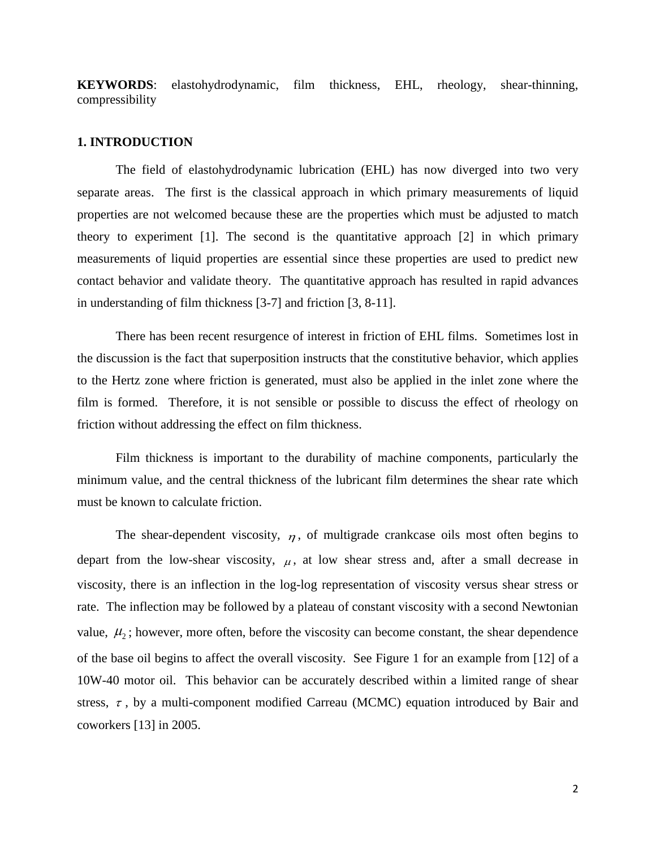**KEYWORDS**: elastohydrodynamic, film thickness, EHL, rheology, shear-thinning, compressibility

## **1. INTRODUCTION**

The field of elastohydrodynamic lubrication (EHL) has now diverged into two very separate areas. The first is the classical approach in which primary measurements of liquid properties are not welcomed because these are the properties which must be adjusted to match theory to experiment [1]. The second is the quantitative approach [2] in which primary measurements of liquid properties are essential since these properties are used to predict new contact behavior and validate theory. The quantitative approach has resulted in rapid advances in understanding of film thickness [3-7] and friction [3, 8-11].

There has been recent resurgence of interest in friction of EHL films. Sometimes lost in the discussion is the fact that superposition instructs that the constitutive behavior, which applies to the Hertz zone where friction is generated, must also be applied in the inlet zone where the film is formed. Therefore, it is not sensible or possible to discuss the effect of rheology on friction without addressing the effect on film thickness.

Film thickness is important to the durability of machine components, particularly the minimum value, and the central thickness of the lubricant film determines the shear rate which must be known to calculate friction.

The shear-dependent viscosity,  $\eta$ , of multigrade crankcase oils most often begins to depart from the low-shear viscosity,  $\mu$ , at low shear stress and, after a small decrease in viscosity, there is an inflection in the log-log representation of viscosity versus shear stress or rate. The inflection may be followed by a plateau of constant viscosity with a second Newtonian value,  $\mu_2$ ; however, more often, before the viscosity can become constant, the shear dependence of the base oil begins to affect the overall viscosity. See Figure 1 for an example from [12] of a 10W-40 motor oil. This behavior can be accurately described within a limited range of shear stress,  $\tau$ , by a multi-component modified Carreau (MCMC) equation introduced by Bair and coworkers [13] in 2005.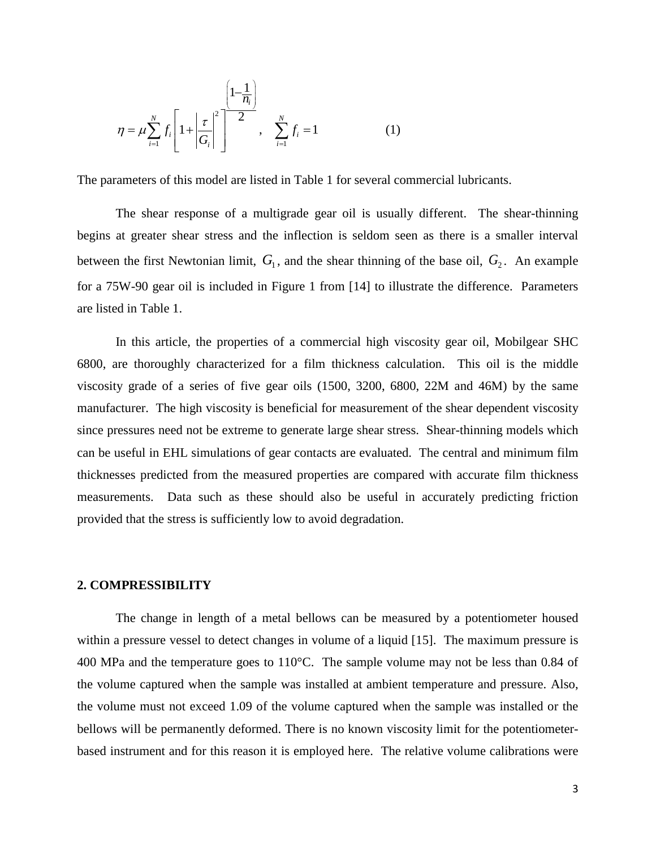$$
\eta = \mu \sum_{i=1}^{N} f_i \left[ 1 + \left| \frac{\tau}{G_i} \right|^2 \right]^{-\frac{1}{2}}, \quad \sum_{i=1}^{N} f_i = 1 \tag{1}
$$

The parameters of this model are listed in Table 1 for several commercial lubricants.

The shear response of a multigrade gear oil is usually different. The shear-thinning begins at greater shear stress and the inflection is seldom seen as there is a smaller interval between the first Newtonian limit,  $G_1$ , and the shear thinning of the base oil,  $G_2$ . An example for a 75W-90 gear oil is included in Figure 1 from [14] to illustrate the difference. Parameters are listed in Table 1.

In this article, the properties of a commercial high viscosity gear oil, Mobilgear SHC 6800, are thoroughly characterized for a film thickness calculation. This oil is the middle viscosity grade of a series of five gear oils (1500, 3200, 6800, 22M and 46M) by the same manufacturer. The high viscosity is beneficial for measurement of the shear dependent viscosity since pressures need not be extreme to generate large shear stress. Shear-thinning models which can be useful in EHL simulations of gear contacts are evaluated. The central and minimum film thicknesses predicted from the measured properties are compared with accurate film thickness measurements. Data such as these should also be useful in accurately predicting friction provided that the stress is sufficiently low to avoid degradation.

## **2. COMPRESSIBILITY**

The change in length of a metal bellows can be measured by a potentiometer housed within a pressure vessel to detect changes in volume of a liquid [15]. The maximum pressure is 400 MPa and the temperature goes to 110°C. The sample volume may not be less than 0.84 of the volume captured when the sample was installed at ambient temperature and pressure. Also, the volume must not exceed 1.09 of the volume captured when the sample was installed or the bellows will be permanently deformed. There is no known viscosity limit for the potentiometerbased instrument and for this reason it is employed here. The relative volume calibrations were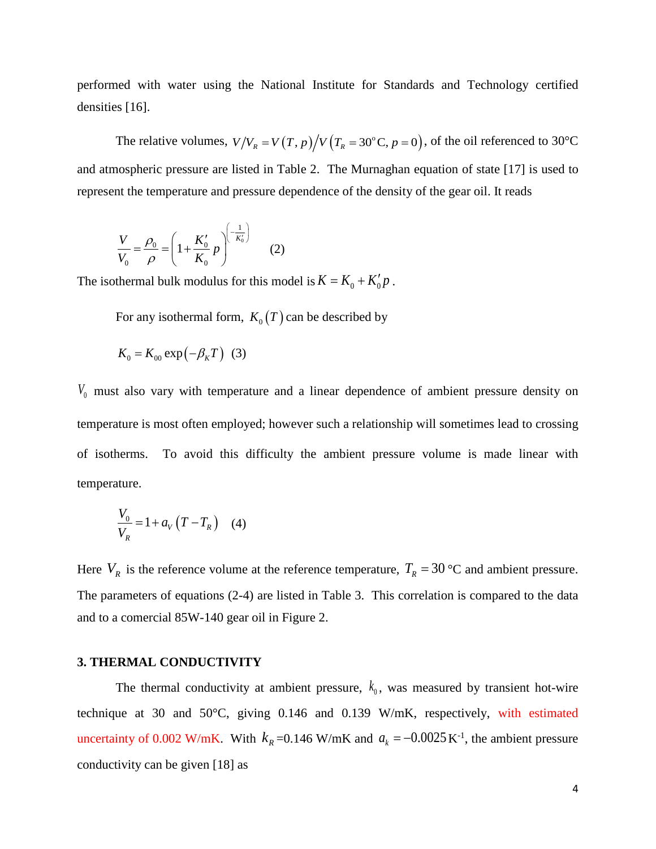performed with water using the National Institute for Standards and Technology certified densities [16].

The relative volumes,  $V / V_R = V(T, p) / V(T_R = 30^\circ \text{C}, p = 0)$ , of the oil referenced to 30°C and atmospheric pressure are listed in Table 2. The Murnaghan equation of state [17] is used to represent the temperature and pressure dependence of the density of the gear oil. It reads

$$
\frac{V}{V_0} = \frac{\rho_0}{\rho} = \left(1 + \frac{K_0'}{K_0} p\right)^{\left(\frac{1}{-K_0'}\right)} \tag{2}
$$

The isothermal bulk modulus for this model is  $K = K_0 + K'_0 p$ .

For any isothermal form,  $K_0(T)$  can be described by

$$
K_0 = K_{00} \exp(-\beta_K T) \quad (3)
$$

*V*<sup>0</sup> must also vary with temperature and a linear dependence of ambient pressure density on temperature is most often employed; however such a relationship will sometimes lead to crossing of isotherms. To avoid this difficulty the ambient pressure volume is made linear with temperature.

$$
\frac{V_0}{V_R} = 1 + a_V \left( T - T_R \right) \quad (4)
$$

Here  $V_R$  is the reference volume at the reference temperature,  $T_R = 30$  °C and ambient pressure. The parameters of equations (2-4) are listed in Table 3. This correlation is compared to the data and to a comercial 85W-140 gear oil in Figure 2.

## **3. THERMAL CONDUCTIVITY**

The thermal conductivity at ambient pressure,  $k_0$ , was measured by transient hot-wire technique at 30 and 50°C, giving 0.146 and 0.139 W/mK, respectively, with estimated uncertainty of 0.002 W/mK. With  $k_R = 0.146$  W/mK and  $a_k = -0.0025$  K<sup>-1</sup>, the ambient pressure conductivity can be given [18] as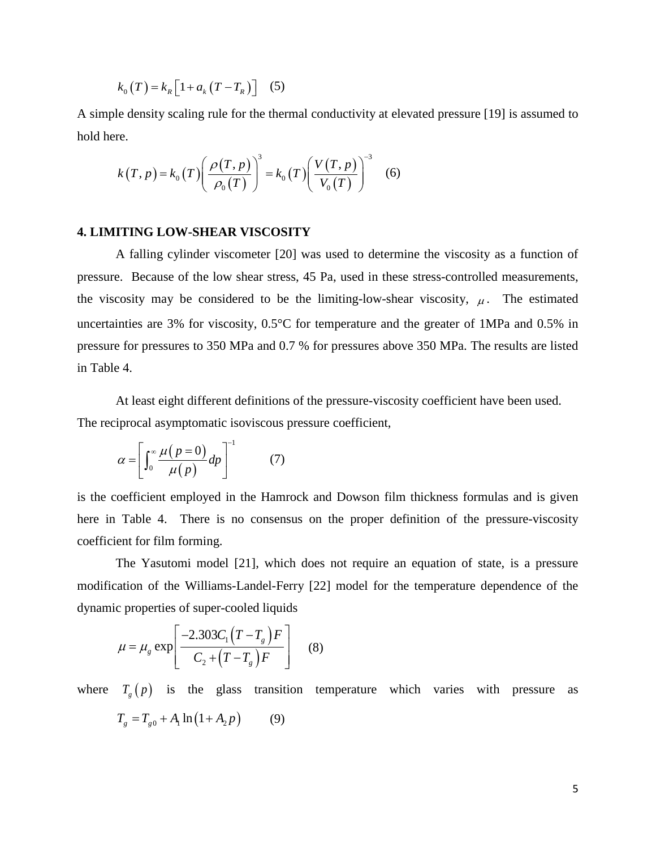$$
k_0(T) = k_R \left[ 1 + a_k (T - T_R) \right] \quad (5)
$$

A simple density scaling rule for the thermal conductivity at elevated pressure [19] is assumed to hold here.

$$
k(T, p) = k_0(T) \left( \frac{\rho(T, p)}{\rho_0(T)} \right)^3 = k_0(T) \left( \frac{V(T, p)}{V_0(T)} \right)^{-3} \quad (6)
$$

## **4. LIMITING LOW-SHEAR VISCOSITY**

A falling cylinder viscometer [20] was used to determine the viscosity as a function of pressure. Because of the low shear stress, 45 Pa, used in these stress-controlled measurements, the viscosity may be considered to be the limiting-low-shear viscosity,  $\mu$ . The estimated uncertainties are 3% for viscosity, 0.5°C for temperature and the greater of 1MPa and 0.5% in pressure for pressures to 350 MPa and 0.7 % for pressures above 350 MPa. The results are listed in Table 4.

At least eight different definitions of the pressure-viscosity coefficient have been used. The reciprocal asymptomatic isoviscous pressure coefficient,

$$
\alpha = \left[ \int_0^\infty \frac{\mu(p=0)}{\mu(p)} dp \right]^{-1} \tag{7}
$$

is the coefficient employed in the Hamrock and Dowson film thickness formulas and is given here in Table 4. There is no consensus on the proper definition of the pressure-viscosity coefficient for film forming.

The Yasutomi model [21], which does not require an equation of state, is a pressure modification of the Williams-Landel-Ferry [22] model for the temperature dependence of the dynamic properties of super-cooled liquids

$$
\mu = \mu_g \exp\left[\frac{-2.303C_1(T - T_g)F}{C_2 + (T - T_g)F}\right]
$$
 (8)

where  $T_g(p)$  is the glass transition temperature which varies with pressure as  $T_g = T_{g0} + A_1 \ln(1 + A_2 p)$  (9)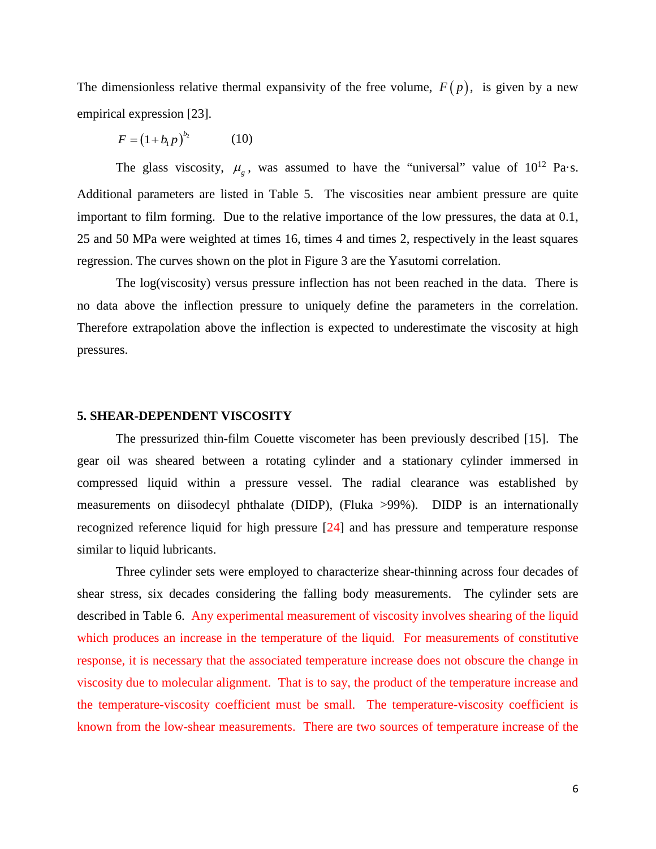The dimensionless relative thermal expansivity of the free volume,  $F(p)$ , is given by a new empirical expression [23].

 $F = (1 + b_1 p)^{b_2}$  (10)

The glass viscosity,  $\mu_{g}$ , was assumed to have the "universal" value of  $10^{12}$  Pa·s. Additional parameters are listed in Table 5. The viscosities near ambient pressure are quite important to film forming. Due to the relative importance of the low pressures, the data at 0.1, 25 and 50 MPa were weighted at times 16, times 4 and times 2, respectively in the least squares regression. The curves shown on the plot in Figure 3 are the Yasutomi correlation.

The log(viscosity) versus pressure inflection has not been reached in the data. There is no data above the inflection pressure to uniquely define the parameters in the correlation. Therefore extrapolation above the inflection is expected to underestimate the viscosity at high pressures.

#### **5. SHEAR-DEPENDENT VISCOSITY**

The pressurized thin-film Couette viscometer has been previously described [15]. The gear oil was sheared between a rotating cylinder and a stationary cylinder immersed in compressed liquid within a pressure vessel. The radial clearance was established by measurements on diisodecyl phthalate (DIDP), (Fluka >99%). DIDP is an internationally recognized reference liquid for high pressure [24] and has pressure and temperature response similar to liquid lubricants.

Three cylinder sets were employed to characterize shear-thinning across four decades of shear stress, six decades considering the falling body measurements. The cylinder sets are described in Table 6. Any experimental measurement of viscosity involves shearing of the liquid which produces an increase in the temperature of the liquid. For measurements of constitutive response, it is necessary that the associated temperature increase does not obscure the change in viscosity due to molecular alignment. That is to say, the product of the temperature increase and the temperature-viscosity coefficient must be small. The temperature-viscosity coefficient is known from the low-shear measurements. There are two sources of temperature increase of the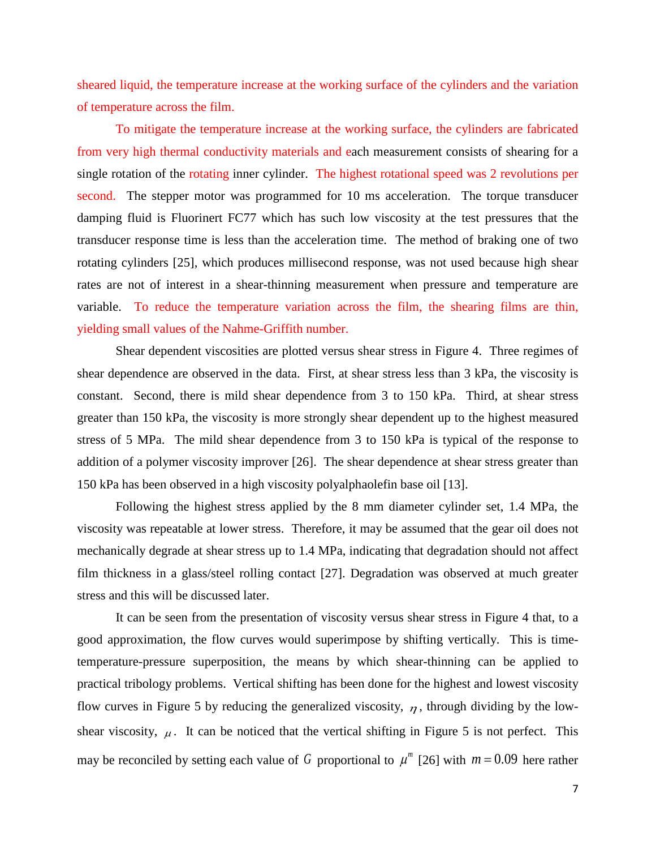sheared liquid, the temperature increase at the working surface of the cylinders and the variation of temperature across the film.

To mitigate the temperature increase at the working surface, the cylinders are fabricated from very high thermal conductivity materials and each measurement consists of shearing for a single rotation of the rotating inner cylinder. The highest rotational speed was 2 revolutions per second. The stepper motor was programmed for 10 ms acceleration. The torque transducer damping fluid is Fluorinert FC77 which has such low viscosity at the test pressures that the transducer response time is less than the acceleration time. The method of braking one of two rotating cylinders [25], which produces millisecond response, was not used because high shear rates are not of interest in a shear-thinning measurement when pressure and temperature are variable. To reduce the temperature variation across the film, the shearing films are thin, yielding small values of the Nahme-Griffith number.

Shear dependent viscosities are plotted versus shear stress in Figure 4. Three regimes of shear dependence are observed in the data. First, at shear stress less than 3 kPa, the viscosity is constant. Second, there is mild shear dependence from 3 to 150 kPa. Third, at shear stress greater than 150 kPa, the viscosity is more strongly shear dependent up to the highest measured stress of 5 MPa. The mild shear dependence from 3 to 150 kPa is typical of the response to addition of a polymer viscosity improver [26]. The shear dependence at shear stress greater than 150 kPa has been observed in a high viscosity polyalphaolefin base oil [13].

Following the highest stress applied by the 8 mm diameter cylinder set, 1.4 MPa, the viscosity was repeatable at lower stress. Therefore, it may be assumed that the gear oil does not mechanically degrade at shear stress up to 1.4 MPa, indicating that degradation should not affect film thickness in a glass/steel rolling contact [27]. Degradation was observed at much greater stress and this will be discussed later.

It can be seen from the presentation of viscosity versus shear stress in Figure 4 that, to a good approximation, the flow curves would superimpose by shifting vertically. This is timetemperature-pressure superposition, the means by which shear-thinning can be applied to practical tribology problems. Vertical shifting has been done for the highest and lowest viscosity flow curves in Figure 5 by reducing the generalized viscosity,  $\eta$ , through dividing by the lowshear viscosity,  $\mu$ . It can be noticed that the vertical shifting in Figure 5 is not perfect. This may be reconciled by setting each value of *G* proportional to  $\mu^m$  [26] with  $m = 0.09$  here rather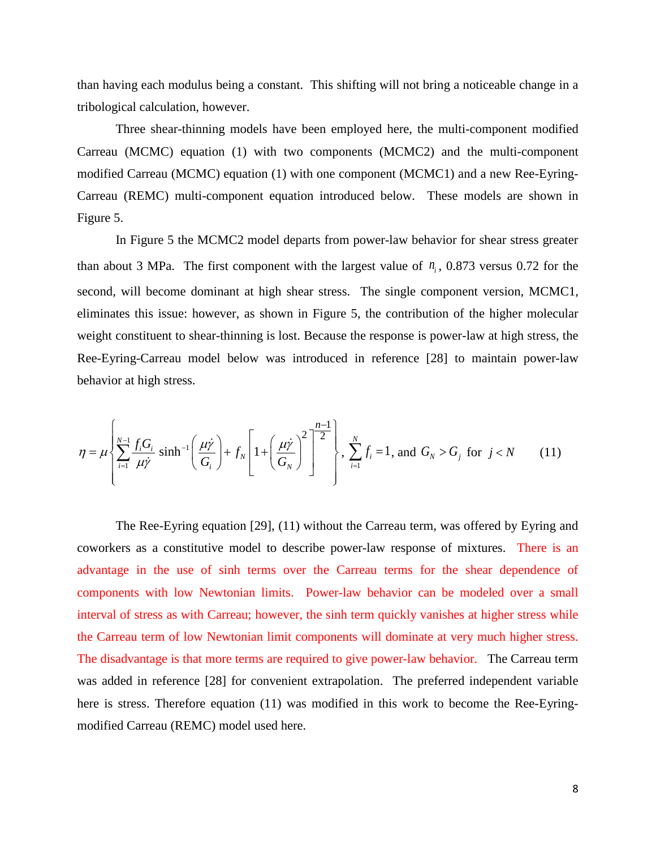than having each modulus being a constant. This shifting will not bring a noticeable change in a tribological calculation, however.

Three shear-thinning models have been employed here, the multi-component modified Carreau (MCMC) equation (1) with two components (MCMC2) and the multi-component modified Carreau (MCMC) equation (1) with one component (MCMC1) and a new Ree-Eyring-Carreau (REMC) multi-component equation introduced below. These models are shown in Figure 5.

In Figure 5 the MCMC2 model departs from power-law behavior for shear stress greater than about 3 MPa. The first component with the largest value of  $n_i$ , 0.873 versus 0.72 for the second, will become dominant at high shear stress. The single component version, MCMC1, eliminates this issue: however, as shown in Figure 5, the contribution of the higher molecular weight constituent to shear-thinning is lost. Because the response is power-law at high stress, the Ree-Eyring-Carreau model below was introduced in reference [28] to maintain power-law behavior at high stress.

$$
\eta = \mu \left\{ \sum_{i=1}^{N-1} \frac{f_i G_i}{\mu \dot{\gamma}} \sinh^{-1} \left( \frac{\mu \dot{\gamma}}{G_i} \right) + f_N \left[ 1 + \left( \frac{\mu \dot{\gamma}}{G_N} \right)^2 \right]^{-2} \right\}, \sum_{i=1}^{N} f_i = 1, \text{ and } G_N > G_j \text{ for } j < N \qquad (11)
$$

The Ree-Eyring equation [29], (11) without the Carreau term, was offered by Eyring and coworkers as a constitutive model to describe power-law response of mixtures. There is an advantage in the use of sinh terms over the Carreau terms for the shear dependence of components with low Newtonian limits. Power-law behavior can be modeled over a small interval of stress as with Carreau; however, the sinh term quickly vanishes at higher stress while the Carreau term of low Newtonian limit components will dominate at very much higher stress. The disadvantage is that more terms are required to give power-law behavior. The Carreau term was added in reference [28] for convenient extrapolation. The preferred independent variable here is stress. Therefore equation (11) was modified in this work to become the Ree-Eyringmodified Carreau (REMC) model used here.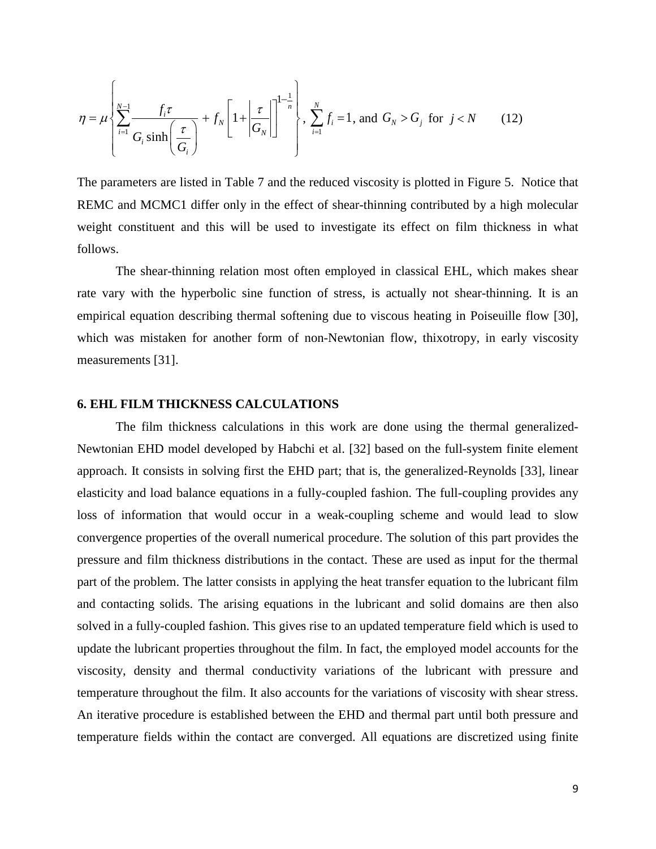$$
\eta = \mu \left\{ \sum_{i=1}^{N-1} \frac{f_i \tau}{G_i \sinh\left(\frac{\tau}{G_i}\right)} + f_N \left[1 + \left|\frac{\tau}{G_N}\right|\right]^{1-\frac{1}{n}} \right\}, \sum_{i=1}^{N} f_i = 1, \text{ and } G_N > G_j \text{ for } j < N \qquad (12)
$$

The parameters are listed in Table 7 and the reduced viscosity is plotted in Figure 5. Notice that REMC and MCMC1 differ only in the effect of shear-thinning contributed by a high molecular weight constituent and this will be used to investigate its effect on film thickness in what follows.

The shear-thinning relation most often employed in classical EHL, which makes shear rate vary with the hyperbolic sine function of stress, is actually not shear-thinning. It is an empirical equation describing thermal softening due to viscous heating in Poiseuille flow [30], which was mistaken for another form of non-Newtonian flow, thixotropy, in early viscosity measurements [31].

## **6. EHL FILM THICKNESS CALCULATIONS**

The film thickness calculations in this work are done using the thermal generalized-Newtonian EHD model developed by Habchi et al. [32] based on the full-system finite element approach. It consists in solving first the EHD part; that is, the generalized-Reynolds [33], linear elasticity and load balance equations in a fully-coupled fashion. The full-coupling provides any loss of information that would occur in a weak-coupling scheme and would lead to slow convergence properties of the overall numerical procedure. The solution of this part provides the pressure and film thickness distributions in the contact. These are used as input for the thermal part of the problem. The latter consists in applying the heat transfer equation to the lubricant film and contacting solids. The arising equations in the lubricant and solid domains are then also solved in a fully-coupled fashion. This gives rise to an updated temperature field which is used to update the lubricant properties throughout the film. In fact, the employed model accounts for the viscosity, density and thermal conductivity variations of the lubricant with pressure and temperature throughout the film. It also accounts for the variations of viscosity with shear stress. An iterative procedure is established between the EHD and thermal part until both pressure and temperature fields within the contact are converged. All equations are discretized using finite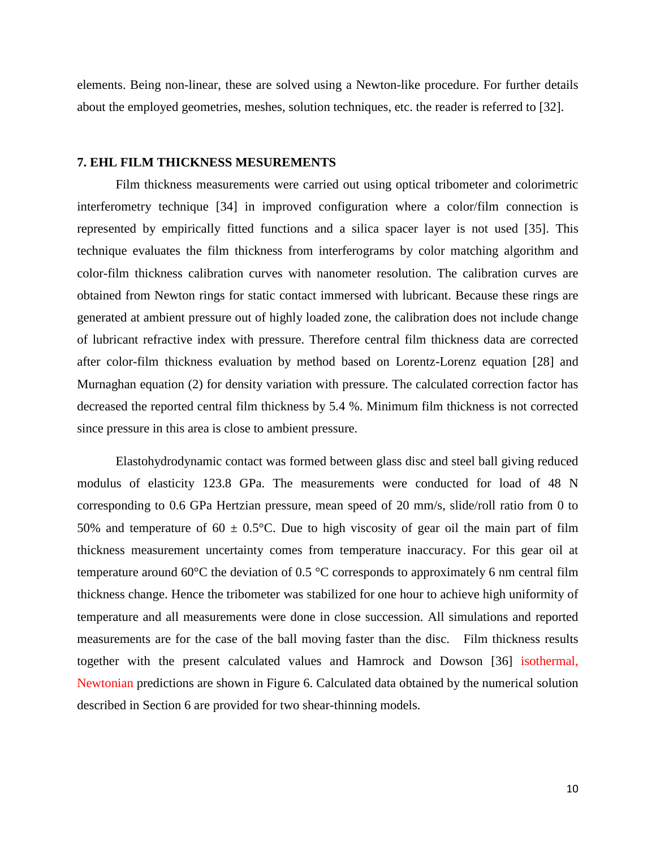elements. Being non-linear, these are solved using a Newton-like procedure. For further details about the employed geometries, meshes, solution techniques, etc. the reader is referred to [32].

#### **7. EHL FILM THICKNESS MESUREMENTS**

Film thickness measurements were carried out using optical tribometer and colorimetric interferometry technique [34] in improved configuration where a color/film connection is represented by empirically fitted functions and a silica spacer layer is not used [35]. This technique evaluates the film thickness from interferograms by color matching algorithm and color-film thickness calibration curves with nanometer resolution. The calibration curves are obtained from Newton rings for static contact immersed with lubricant. Because these rings are generated at ambient pressure out of highly loaded zone, the calibration does not include change of lubricant refractive index with pressure. Therefore central film thickness data are corrected after color-film thickness evaluation by method based on Lorentz-Lorenz equation [28] and Murnaghan equation (2) for density variation with pressure. The calculated correction factor has decreased the reported central film thickness by 5.4 %. Minimum film thickness is not corrected since pressure in this area is close to ambient pressure.

Elastohydrodynamic contact was formed between glass disc and steel ball giving reduced modulus of elasticity 123.8 GPa. The measurements were conducted for load of 48 N corresponding to 0.6 GPa Hertzian pressure, mean speed of 20 mm/s, slide/roll ratio from 0 to 50% and temperature of 60  $\pm$  0.5°C. Due to high viscosity of gear oil the main part of film thickness measurement uncertainty comes from temperature inaccuracy. For this gear oil at temperature around 60°C the deviation of 0.5 °C corresponds to approximately 6 nm central film thickness change. Hence the tribometer was stabilized for one hour to achieve high uniformity of temperature and all measurements were done in close succession. All simulations and reported measurements are for the case of the ball moving faster than the disc. Film thickness results together with the present calculated values and Hamrock and Dowson [36] isothermal, Newtonian predictions are shown in Figure 6. Calculated data obtained by the numerical solution described in Section 6 are provided for two shear-thinning models.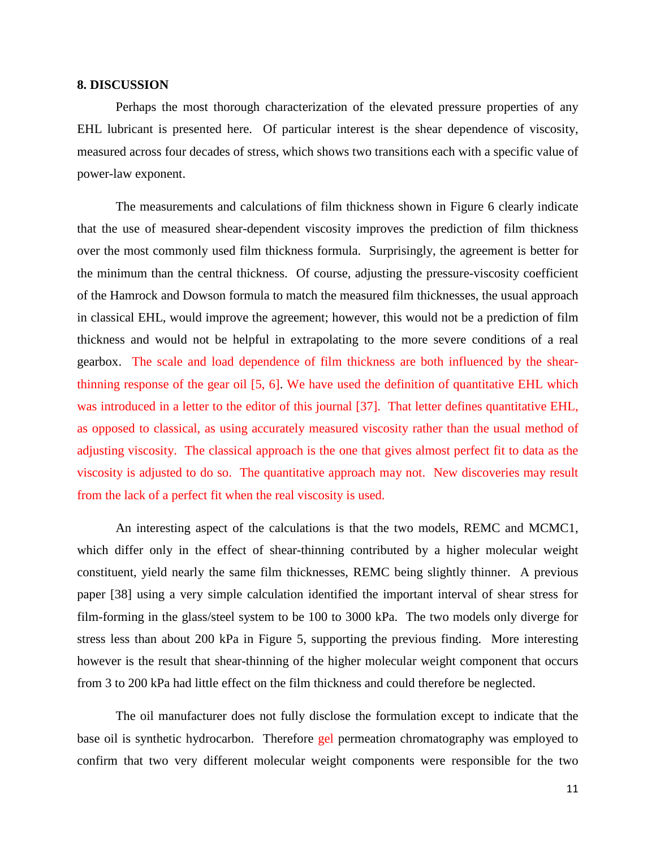## **8. DISCUSSION**

Perhaps the most thorough characterization of the elevated pressure properties of any EHL lubricant is presented here. Of particular interest is the shear dependence of viscosity, measured across four decades of stress, which shows two transitions each with a specific value of power-law exponent.

The measurements and calculations of film thickness shown in Figure 6 clearly indicate that the use of measured shear-dependent viscosity improves the prediction of film thickness over the most commonly used film thickness formula. Surprisingly, the agreement is better for the minimum than the central thickness. Of course, adjusting the pressure-viscosity coefficient of the Hamrock and Dowson formula to match the measured film thicknesses, the usual approach in classical EHL, would improve the agreement; however, this would not be a prediction of film thickness and would not be helpful in extrapolating to the more severe conditions of a real gearbox. The scale and load dependence of film thickness are both influenced by the shearthinning response of the gear oil [5, 6]. We have used the definition of quantitative EHL which was introduced in a letter to the editor of this journal [37]. That letter defines quantitative EHL, as opposed to classical, as using accurately measured viscosity rather than the usual method of adjusting viscosity. The classical approach is the one that gives almost perfect fit to data as the viscosity is adjusted to do so. The quantitative approach may not. New discoveries may result from the lack of a perfect fit when the real viscosity is used.

An interesting aspect of the calculations is that the two models, REMC and MCMC1, which differ only in the effect of shear-thinning contributed by a higher molecular weight constituent, yield nearly the same film thicknesses, REMC being slightly thinner. A previous paper [38] using a very simple calculation identified the important interval of shear stress for film-forming in the glass/steel system to be 100 to 3000 kPa. The two models only diverge for stress less than about 200 kPa in Figure 5, supporting the previous finding. More interesting however is the result that shear-thinning of the higher molecular weight component that occurs from 3 to 200 kPa had little effect on the film thickness and could therefore be neglected.

The oil manufacturer does not fully disclose the formulation except to indicate that the base oil is synthetic hydrocarbon. Therefore gel permeation chromatography was employed to confirm that two very different molecular weight components were responsible for the two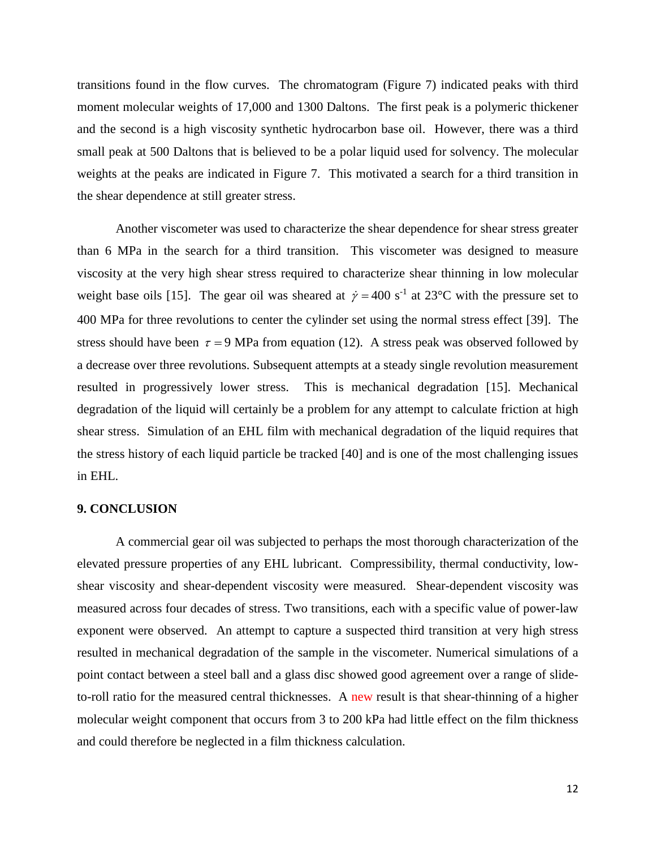transitions found in the flow curves. The chromatogram (Figure 7) indicated peaks with third moment molecular weights of 17,000 and 1300 Daltons. The first peak is a polymeric thickener and the second is a high viscosity synthetic hydrocarbon base oil. However, there was a third small peak at 500 Daltons that is believed to be a polar liquid used for solvency. The molecular weights at the peaks are indicated in Figure 7. This motivated a search for a third transition in the shear dependence at still greater stress.

Another viscometer was used to characterize the shear dependence for shear stress greater than 6 MPa in the search for a third transition. This viscometer was designed to measure viscosity at the very high shear stress required to characterize shear thinning in low molecular weight base oils [15]. The gear oil was sheared at  $\dot{\gamma} = 400 \text{ s}^{-1}$  at 23<sup>o</sup>C with the pressure set to 400 MPa for three revolutions to center the cylinder set using the normal stress effect [39]. The stress should have been  $\tau = 9$  MPa from equation (12). A stress peak was observed followed by a decrease over three revolutions. Subsequent attempts at a steady single revolution measurement resulted in progressively lower stress. This is mechanical degradation [15]. Mechanical degradation of the liquid will certainly be a problem for any attempt to calculate friction at high shear stress. Simulation of an EHL film with mechanical degradation of the liquid requires that the stress history of each liquid particle be tracked [40] and is one of the most challenging issues in EHL.

#### **9. CONCLUSION**

A commercial gear oil was subjected to perhaps the most thorough characterization of the elevated pressure properties of any EHL lubricant. Compressibility, thermal conductivity, lowshear viscosity and shear-dependent viscosity were measured. Shear-dependent viscosity was measured across four decades of stress. Two transitions, each with a specific value of power-law exponent were observed. An attempt to capture a suspected third transition at very high stress resulted in mechanical degradation of the sample in the viscometer. Numerical simulations of a point contact between a steel ball and a glass disc showed good agreement over a range of slideto-roll ratio for the measured central thicknesses. A new result is that shear-thinning of a higher molecular weight component that occurs from 3 to 200 kPa had little effect on the film thickness and could therefore be neglected in a film thickness calculation.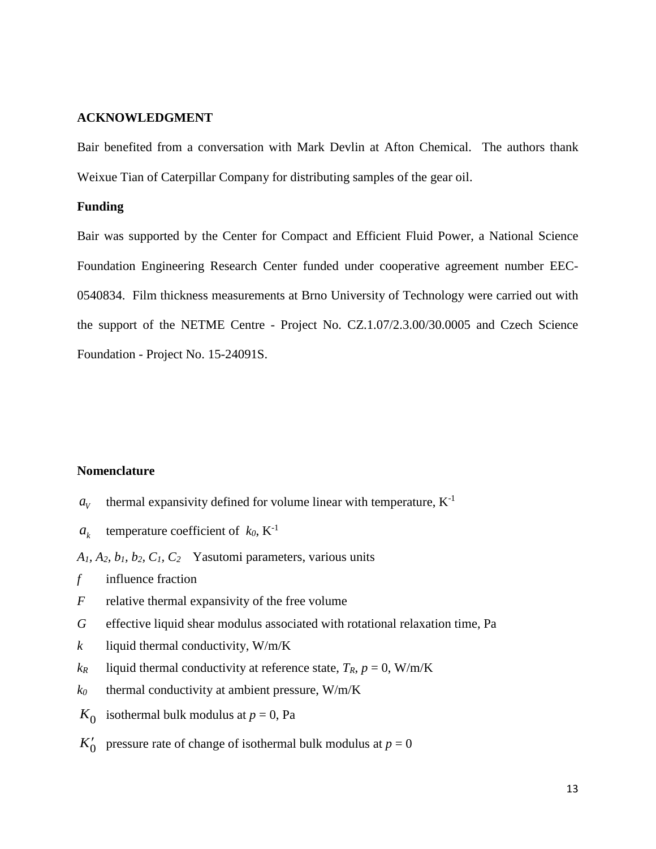## **ACKNOWLEDGMENT**

Bair benefited from a conversation with Mark Devlin at Afton Chemical. The authors thank Weixue Tian of Caterpillar Company for distributing samples of the gear oil.

## **Funding**

Bair was supported by the Center for Compact and Efficient Fluid Power, a National Science Foundation Engineering Research Center funded under cooperative agreement number EEC-0540834. Film thickness measurements at Brno University of Technology were carried out with the support of the NETME Centre - Project No. CZ.1.07/2.3.00/30.0005 and Czech Science Foundation - Project No. 15-24091S.

#### **Nomenclature**

- $a_v$  thermal expansivity defined for volume linear with temperature,  $K^{-1}$
- $a_k$  temperature coefficient of  $k_0$ ,  $K^{-1}$

*A1, A2, b1, b2, C1, C2* Yasutomi parameters, various units

- *f* influence fraction
- *F* relative thermal expansivity of the free volume
- *G* effective liquid shear modulus associated with rotational relaxation time, Pa
- $k$  liquid thermal conductivity,  $W/m/K$
- $k_R$  liquid thermal conductivity at reference state,  $T_R$ ,  $p = 0$ , W/m/K
- $k_0$  thermal conductivity at ambient pressure, W/m/K
- $K_0$  isothermal bulk modulus at  $p = 0$ , Pa
- $K'_{0}$  pressure rate of change of isothermal bulk modulus at  $p = 0$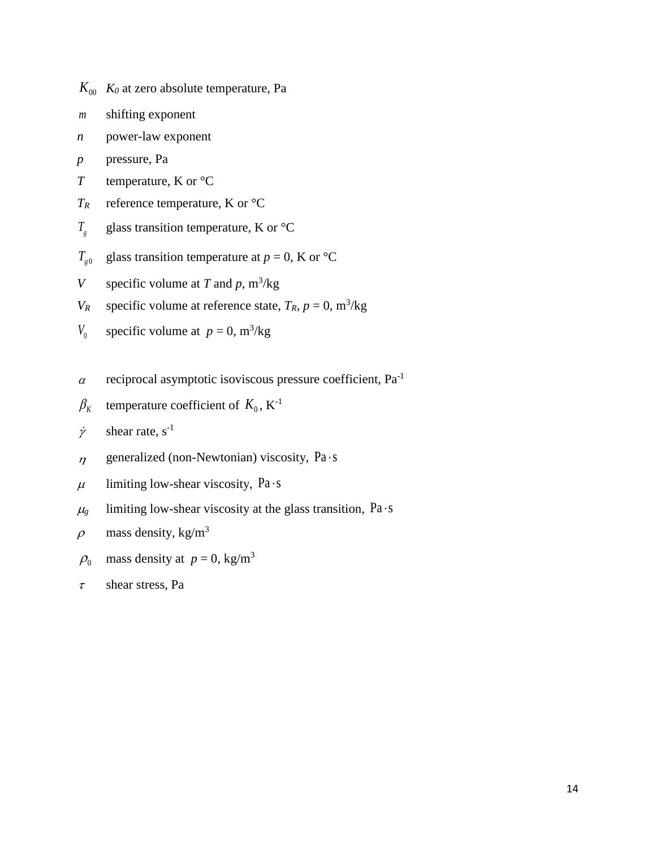- $K_{00}$  *K<sub>0</sub>* at zero absolute temperature, Pa
- *m* shifting exponent
- *n* power-law exponent
- p pressure, Pa
- *T* temperature, K or °C
- $T_R$  reference temperature, K or  ${}^{\circ}C$
- $T_{g}$ glass transition temperature, K or °C
- $T_{\rho 0}$ glass transition temperature at  $p = 0$ , K or  $\mathrm{C}C$
- *V* specific volume at *T* and  $p$ ,  $m^3/kg$
- *V<sub>R</sub>* specific volume at reference state,  $T_R$ ,  $p = 0$ , m<sup>3</sup>/kg
- *V*<sub>0</sub> specific volume at  $p = 0$ , m<sup>3</sup>/kg
- $\alpha$  reciprocal asymptotic isoviscous pressure coefficient, Pa<sup>-1</sup>
- $\beta_K$  temperature coefficient of  $K_0$ ,  $K^{-1}$
- $\dot{\gamma}$  shear rate, s<sup>-1</sup>
- $\eta$  generalized (non-Newtonian) viscosity, Pa · s
- $\mu$  limiting low-shear viscosity, Pa · s
- $\mu$ <sub>g</sub> limiting low-shear viscosity at the glass transition, Pa · s
- $\rho$  mass density, kg/m<sup>3</sup>
- $\rho_0$  mass density at  $p = 0$ , kg/m<sup>3</sup>
- $\tau$  shear stress, Pa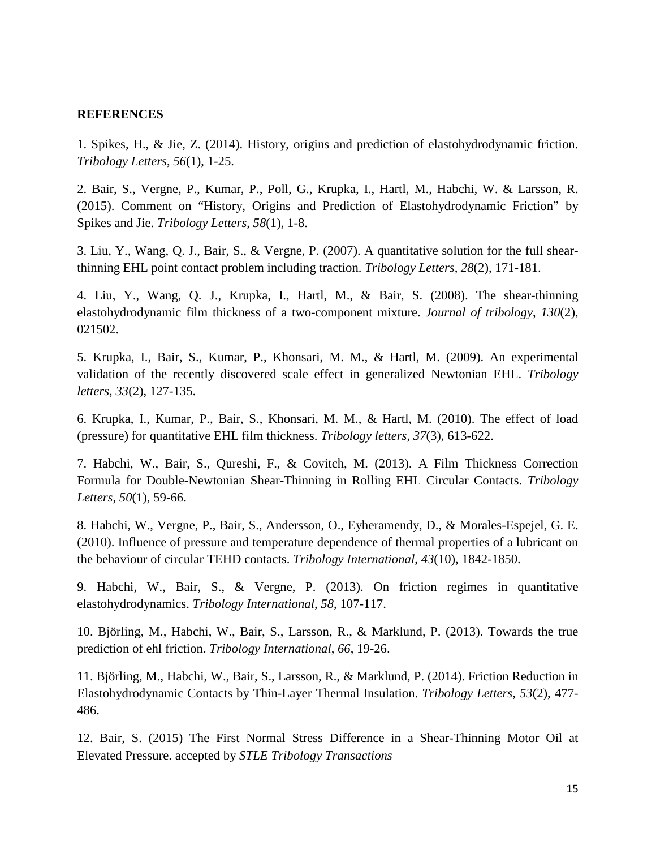## **REFERENCES**

1. Spikes, H., & Jie, Z. (2014). History, origins and prediction of elastohydrodynamic friction. *Tribology Letters*, *56*(1), 1-25.

2. Bair, S., Vergne, P., Kumar, P., Poll, G., Krupka, I., Hartl, M., Habchi, W. & Larsson, R. (2015). Comment on "History, Origins and Prediction of Elastohydrodynamic Friction" by Spikes and Jie. *Tribology Letters*, *58*(1), 1-8.

3. Liu, Y., Wang, Q. J., Bair, S., & Vergne, P. (2007). A quantitative solution for the full shearthinning EHL point contact problem including traction. *Tribology Letters*, *28*(2), 171-181.

4. Liu, Y., Wang, Q. J., Krupka, I., Hartl, M., & Bair, S. (2008). The shear-thinning elastohydrodynamic film thickness of a two-component mixture. *Journal of tribology*, *130*(2), 021502.

5. Krupka, I., Bair, S., Kumar, P., Khonsari, M. M., & Hartl, M. (2009). An experimental validation of the recently discovered scale effect in generalized Newtonian EHL. *Tribology letters*, *33*(2), 127-135.

6. Krupka, I., Kumar, P., Bair, S., Khonsari, M. M., & Hartl, M. (2010). The effect of load (pressure) for quantitative EHL film thickness. *Tribology letters*, *37*(3), 613-622.

7. Habchi, W., Bair, S., Qureshi, F., & Covitch, M. (2013). A Film Thickness Correction Formula for Double-Newtonian Shear-Thinning in Rolling EHL Circular Contacts. *Tribology Letters*, *50*(1), 59-66.

8. Habchi, W., Vergne, P., Bair, S., Andersson, O., Eyheramendy, D., & Morales-Espejel, G. E. (2010). Influence of pressure and temperature dependence of thermal properties of a lubricant on the behaviour of circular TEHD contacts. *Tribology International*, *43*(10), 1842-1850.

9. Habchi, W., Bair, S., & Vergne, P. (2013). On friction regimes in quantitative elastohydrodynamics. *Tribology International*, *58*, 107-117.

10. Björling, M., Habchi, W., Bair, S., Larsson, R., & Marklund, P. (2013). Towards the true prediction of ehl friction. *Tribology International*, *66*, 19-26.

11. Björling, M., Habchi, W., Bair, S., Larsson, R., & Marklund, P. (2014). Friction Reduction in Elastohydrodynamic Contacts by Thin-Layer Thermal Insulation. *Tribology Letters*, *53*(2), 477- 486.

12. Bair, S. (2015) The First Normal Stress Difference in a Shear-Thinning Motor Oil at Elevated Pressure. accepted by *STLE Tribology Transactions*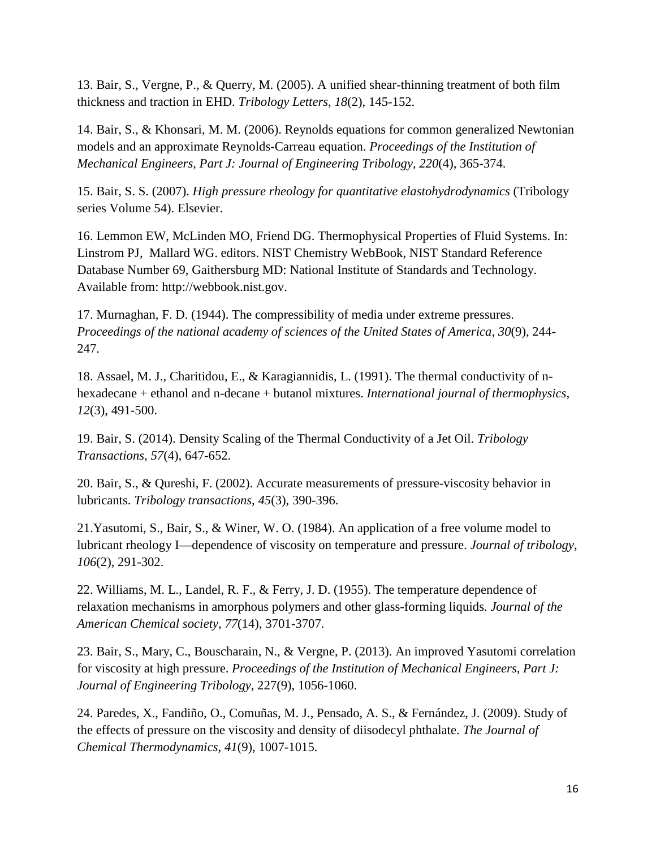13. Bair, S., Vergne, P., & Querry, M. (2005). A unified shear-thinning treatment of both film thickness and traction in EHD. *Tribology Letters*, *18*(2), 145-152.

14. Bair, S., & Khonsari, M. M. (2006). Reynolds equations for common generalized Newtonian models and an approximate Reynolds-Carreau equation. *Proceedings of the Institution of Mechanical Engineers, Part J: Journal of Engineering Tribology*, *220*(4), 365-374.

15. Bair, S. S. (2007). *High pressure rheology for quantitative elastohydrodynamics* (Tribology series Volume 54). Elsevier.

16. Lemmon EW, McLinden MO, Friend DG. Thermophysical Properties of Fluid Systems. In: Linstrom PJ, Mallard WG. editors. NIST Chemistry WebBook, NIST Standard Reference Database Number 69, Gaithersburg MD: National Institute of Standards and Technology. Available from: http://webbook.nist.gov.

17. Murnaghan, F. D. (1944). The compressibility of media under extreme pressures. *Proceedings of the national academy of sciences of the United States of America*, *30*(9), 244- 247.

18. Assael, M. J., Charitidou, E., & Karagiannidis, L. (1991). The thermal conductivity of nhexadecane + ethanol and n-decane + butanol mixtures. *International journal of thermophysics*, *12*(3), 491-500.

19. Bair, S. (2014). Density Scaling of the Thermal Conductivity of a Jet Oil. *Tribology Transactions*, *57*(4), 647-652.

20. Bair, S., & Qureshi, F. (2002). Accurate measurements of pressure-viscosity behavior in lubricants. *Tribology transactions*, *45*(3), 390-396.

21.Yasutomi, S., Bair, S., & Winer, W. O. (1984). An application of a free volume model to lubricant rheology I—dependence of viscosity on temperature and pressure. *Journal of tribology*, *106*(2), 291-302.

22. Williams, M. L., Landel, R. F., & Ferry, J. D. (1955). The temperature dependence of relaxation mechanisms in amorphous polymers and other glass-forming liquids. *Journal of the American Chemical society*, *77*(14), 3701-3707.

23. Bair, S., Mary, C., Bouscharain, N., & Vergne, P. (2013). An improved Yasutomi correlation for viscosity at high pressure. *Proceedings of the Institution of Mechanical Engineers, Part J: Journal of Engineering Tribology,* 227(9), 1056-1060.

24. Paredes, X., Fandiño, O., Comuñas, M. J., Pensado, A. S., & Fernández, J. (2009). Study of the effects of pressure on the viscosity and density of diisodecyl phthalate. *The Journal of Chemical Thermodynamics*, *41*(9), 1007-1015.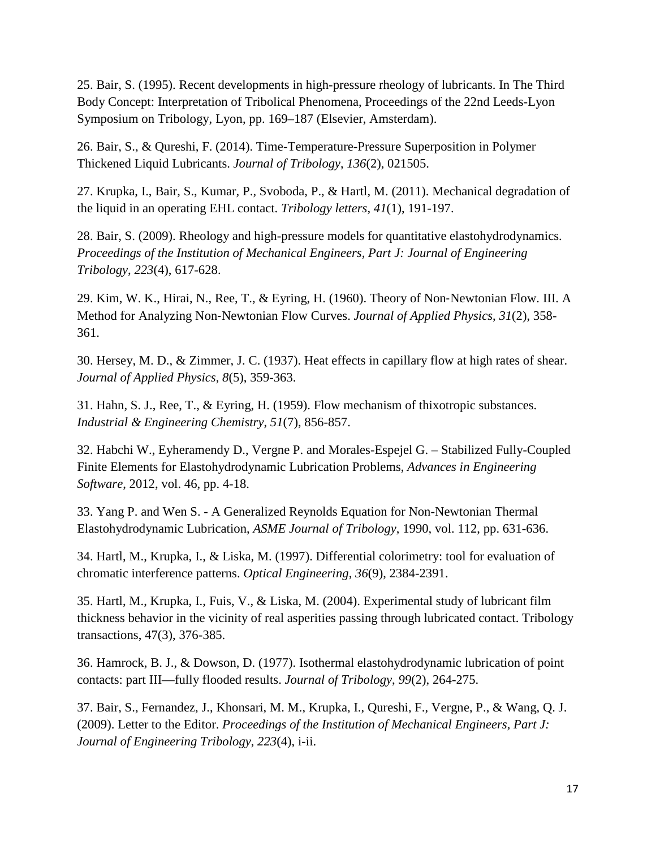25. Bair, S. (1995). Recent developments in high-pressure rheology of lubricants. In The Third Body Concept: Interpretation of Tribolical Phenomena, Proceedings of the 22nd Leeds-Lyon Symposium on Tribology, Lyon, pp. 169–187 (Elsevier, Amsterdam).

26. Bair, S., & Qureshi, F. (2014). Time-Temperature-Pressure Superposition in Polymer Thickened Liquid Lubricants. *Journal of Tribology*, *136*(2), 021505.

27. Krupka, I., Bair, S., Kumar, P., Svoboda, P., & Hartl, M. (2011). Mechanical degradation of the liquid in an operating EHL contact. *Tribology letters*, *41*(1), 191-197.

28. Bair, S. (2009). Rheology and high-pressure models for quantitative elastohydrodynamics. *Proceedings of the Institution of Mechanical Engineers, Part J: Journal of Engineering Tribology*, *223*(4), 617-628.

29. Kim, W. K., Hirai, N., Ree, T., & Eyring, H. (1960). Theory of Non‐Newtonian Flow. III. A Method for Analyzing Non‐Newtonian Flow Curves. *Journal of Applied Physics*, *31*(2), 358- 361.

30. Hersey, M. D., & Zimmer, J. C. (1937). Heat effects in capillary flow at high rates of shear. *Journal of Applied Physics*, *8*(5), 359-363.

31. Hahn, S. J., Ree, T., & Eyring, H. (1959). Flow mechanism of thixotropic substances. *Industrial & Engineering Chemistry*, *51*(7), 856-857.

32. Habchi W., Eyheramendy D., Vergne P. and Morales-Espejel G. – Stabilized Fully-Coupled Finite Elements for Elastohydrodynamic Lubrication Problems, *Advances in Engineering Software*, 2012, vol. 46, pp. 4-18.

33. Yang P. and Wen S. - A Generalized Reynolds Equation for Non-Newtonian Thermal Elastohydrodynamic Lubrication, *ASME Journal of Tribology*, 1990, vol. 112, pp. 631-636.

34. Hartl, M., Krupka, I., & Liska, M. (1997). Differential colorimetry: tool for evaluation of chromatic interference patterns. *Optical Engineering*, *36*(9), 2384-2391.

35. Hartl, M., Krupka, I., Fuis, V., & Liska, M. (2004). Experimental study of lubricant film thickness behavior in the vicinity of real asperities passing through lubricated contact. Tribology transactions, 47(3), 376-385.

36. Hamrock, B. J., & Dowson, D. (1977). Isothermal elastohydrodynamic lubrication of point contacts: part III—fully flooded results. *Journal of Tribology*, *99*(2), 264-275.

37. Bair, S., Fernandez, J., Khonsari, M. M., Krupka, I., Qureshi, F., Vergne, P., & Wang, Q. J. (2009). Letter to the Editor. *Proceedings of the Institution of Mechanical Engineers, Part J: Journal of Engineering Tribology*, *223*(4), i-ii.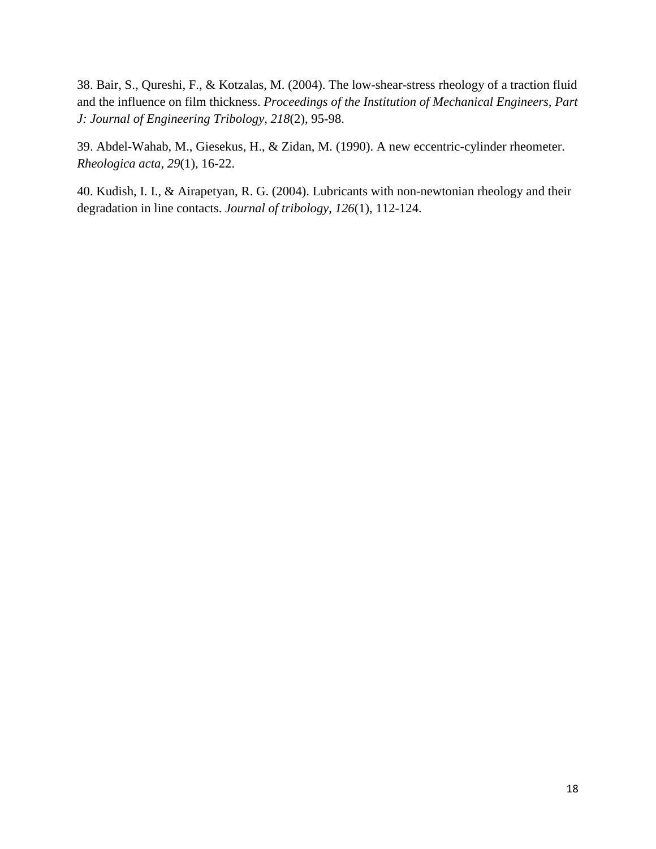38. Bair, S., Qureshi, F., & Kotzalas, M. (2004). The low-shear-stress rheology of a traction fluid and the influence on film thickness. *Proceedings of the Institution of Mechanical Engineers, Part J: Journal of Engineering Tribology*, *218*(2), 95-98.

39. Abdel-Wahab, M., Giesekus, H., & Zidan, M. (1990). A new eccentric-cylinder rheometer. *Rheologica acta*, *29*(1), 16-22.

40. Kudish, I. I., & Airapetyan, R. G. (2004). Lubricants with non-newtonian rheology and their degradation in line contacts. *Journal of tribology*, *126*(1), 112-124.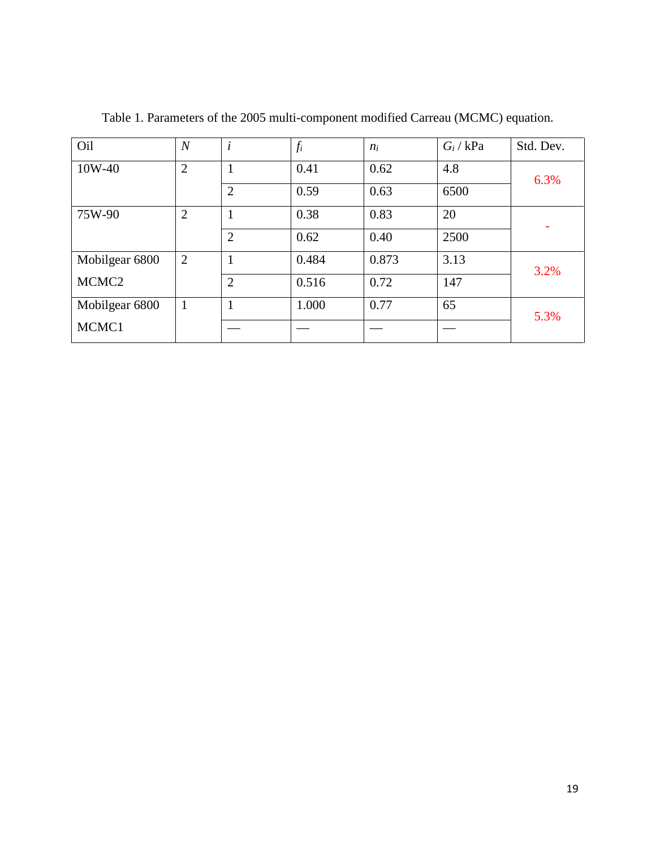| Oil               | $\overline{N}$ | $\dot{i}$      | $f_i$ | $n_i$ | $G_i$ / kPa | Std. Dev. |
|-------------------|----------------|----------------|-------|-------|-------------|-----------|
| 10W-40            | $\overline{2}$ | 1              | 0.41  | 0.62  | 4.8         | 6.3%      |
|                   |                | $\overline{2}$ | 0.59  | 0.63  | 6500        |           |
| 75W-90            | $\overline{2}$ | 1              | 0.38  | 0.83  | 20          | ۰         |
|                   |                | $\overline{2}$ | 0.62  | 0.40  | 2500        |           |
| Mobilgear 6800    | $\overline{2}$ |                | 0.484 | 0.873 | 3.13        | 3.2%      |
| MCMC <sub>2</sub> |                | $\overline{2}$ | 0.516 | 0.72  | 147         |           |
| Mobilgear 6800    | $\mathbf{1}$   | $\mathbf{1}$   | 1.000 | 0.77  | 65          | 5.3%      |
| MCMC1             |                |                |       |       |             |           |

Table 1. Parameters of the 2005 multi-component modified Carreau (MCMC) equation.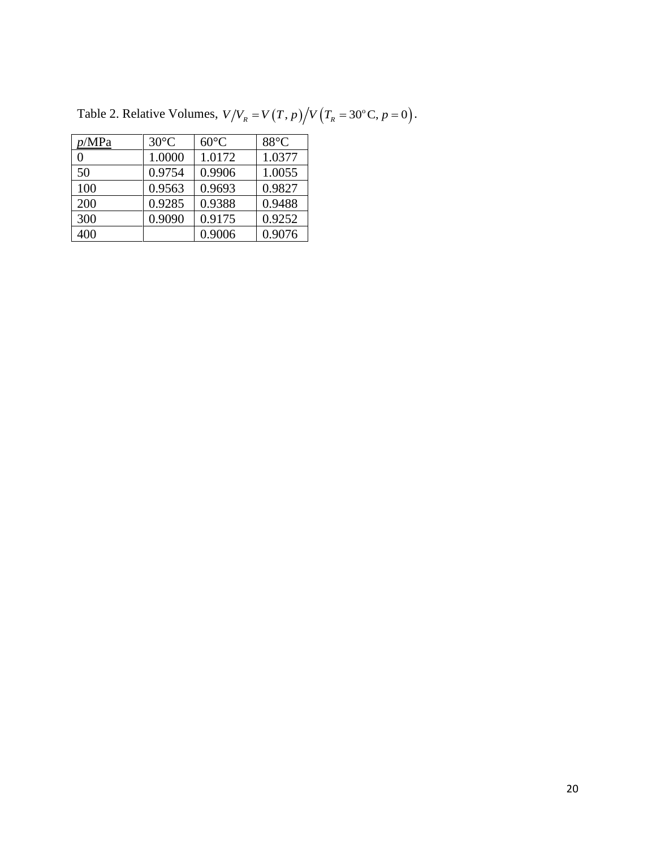| p/MPa | $30^{\circ}$ C | $60^{\circ}$ C | $88^{\circ}$ C |
|-------|----------------|----------------|----------------|
| 0     | 1.0000         | 1.0172         | 1.0377         |
| 50    | 0.9754         | 0.9906         | 1.0055         |
| 100   | 0.9563         | 0.9693         | 0.9827         |
| 200   | 0.9285         | 0.9388         | 0.9488         |
| 300   | 0.9090         | 0.9175         | 0.9252         |
| 400   |                | 0.9006         | 0.9076         |

Table 2. Relative Volumes,  $V / V_R = V(T, p) / V(T_R = 30^{\circ} \text{C}, p = 0)$ .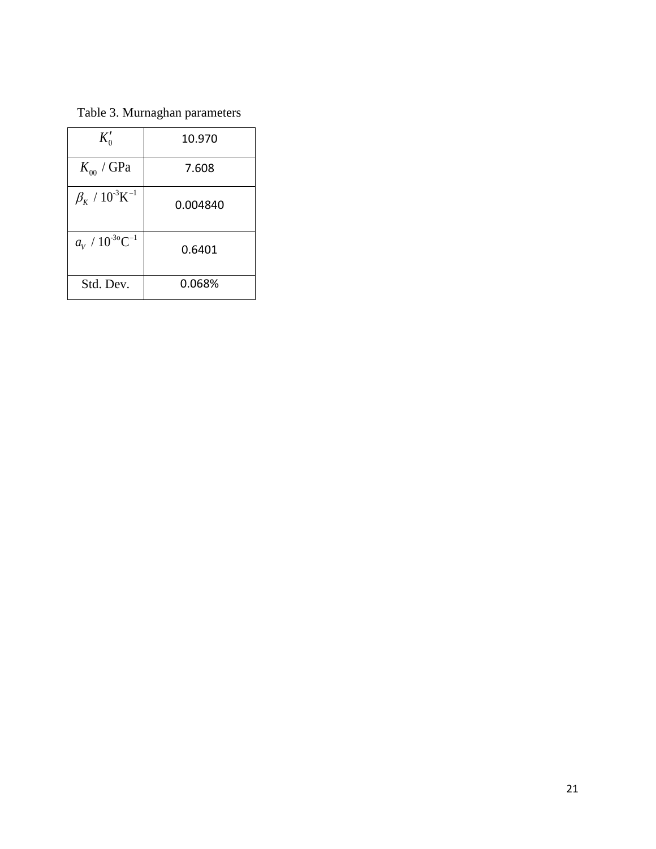Table 3. Murnaghan parameters

| $K'_{0}$                                     | 10.970   |
|----------------------------------------------|----------|
| $K_{00}$ / GPa                               | 7.608    |
| $\beta_{\kappa}$ / $10^{-3}$ K <sup>-1</sup> | 0.004840 |
| $a_V / 10^{-30} \text{C}^{-1}$               | 0.6401   |
| Std. Dev.                                    | 0.068%   |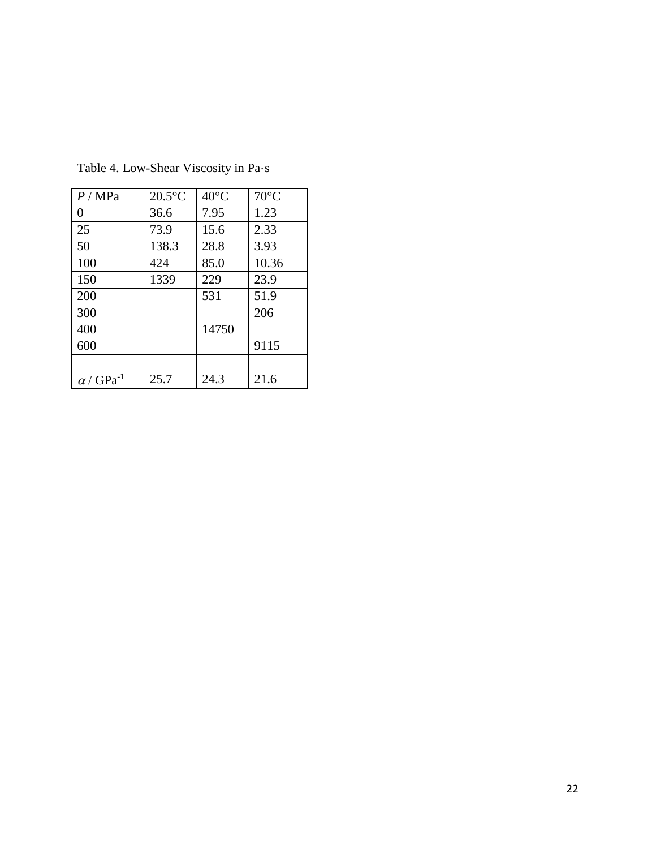| P/MPa                        | $20.5^{\circ}$ C | $40^{\circ}$ C | $70^{\circ}$ C |
|------------------------------|------------------|----------------|----------------|
| 0                            | 36.6             | 7.95           | 1.23           |
| 25                           | 73.9             | 15.6           | 2.33           |
| 50                           | 138.3            | 28.8           | 3.93           |
| 100                          | 424              | 85.0           | 10.36          |
| 150                          | 1339             | 229            | 23.9           |
| 200                          |                  | 531            | 51.9           |
| 300                          |                  |                | 206            |
| 400                          |                  | 14750          |                |
| 600                          |                  |                | 9115           |
|                              |                  |                |                |
| $\alpha$ / GPa <sup>-1</sup> | 25.7             | 24.3           | 21.6           |

Table 4. Low-Shear Viscosity in Pa·s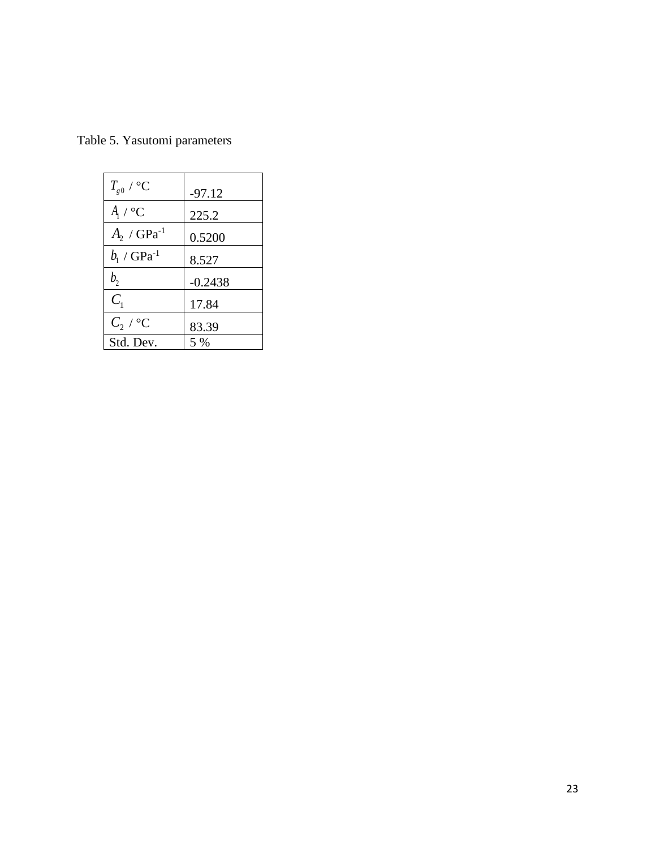| $T_{g0}$ / °C               | $-97.12$  |
|-----------------------------|-----------|
| $A_1 \wedge C$              | 225.2     |
| $A_{2}$ / GPa <sup>-1</sup> | 0.5200    |
| $b_1$ / $GPa^{-1}$          | 8.527     |
| b <sub>2</sub>              | $-0.2438$ |
| $C_{1}$                     | 17.84     |
| $C_{2}$ / $^{\circ}$ C      | 83.39     |
| Std. Dev.                   | $5\%$     |

Table 5. Yasutomi parameters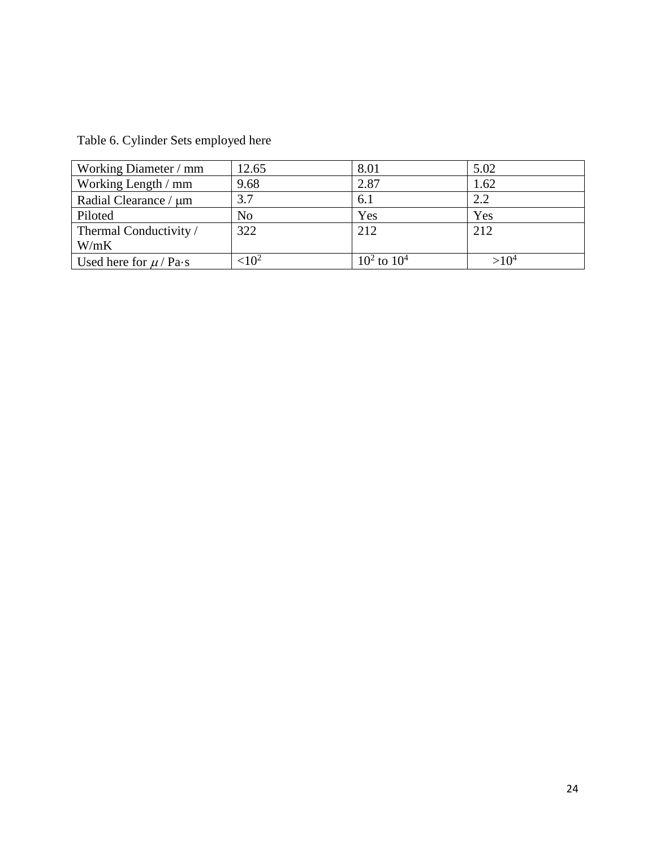Table 6. Cylinder Sets employed here

| Working Diameter / mm      | 12.65          | 8.01             | 5.02 |
|----------------------------|----------------|------------------|------|
| Working Length / mm        | 9.68           | 2.87             | 1.62 |
| Radial Clearance / µm      | 3.7            | 6.1              | 2.2  |
| Piloted                    | N <sub>o</sub> | Yes              | Yes  |
| Thermal Conductivity /     | 322            | 212              | 212  |
| W/mK                       |                |                  |      |
| Used here for $\mu$ / Pa·s | $\leq 10^2$    | $10^2$ to $10^4$ |      |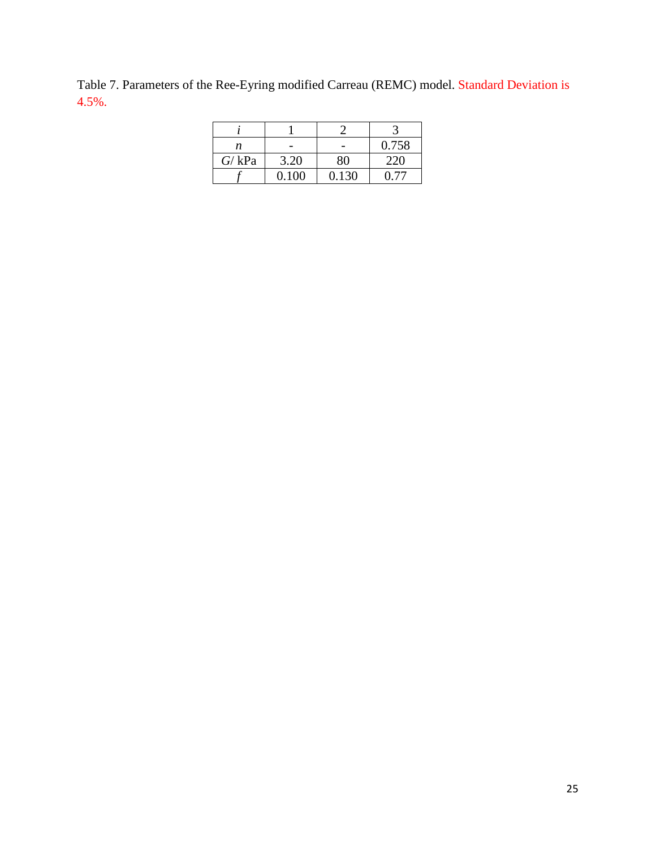Table 7. Parameters of the Ree-Eyring modified Carreau (REMC) model. Standard Deviation is 4.5%.

| n                |       |       | 0.758 |
|------------------|-------|-------|-------|
| $G/\mathrm{kPa}$ | 3.20  |       | 220   |
|                  | 0.100 | 0.130 |       |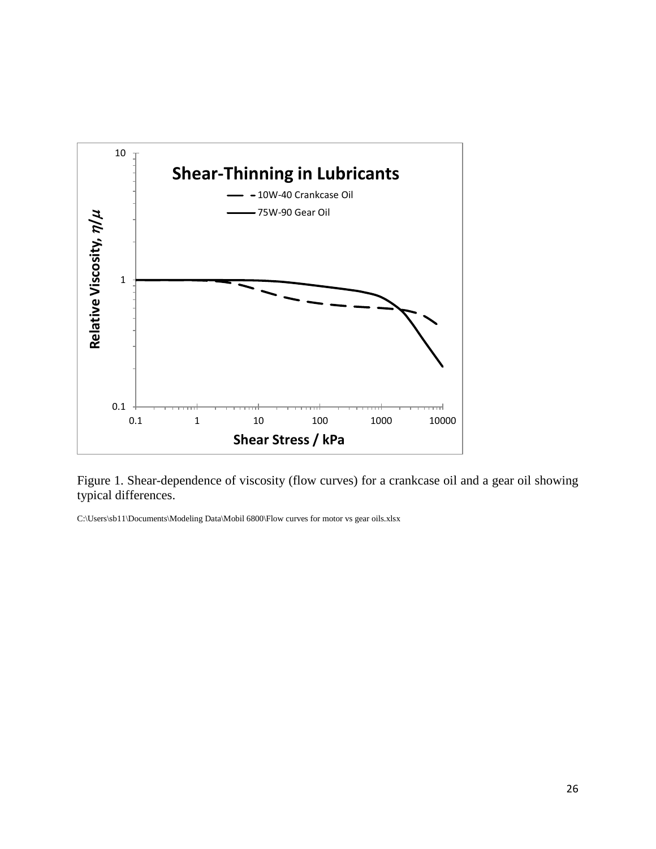

Figure 1. Shear-dependence of viscosity (flow curves) for a crankcase oil and a gear oil showing typical differences.

C:\Users\sb11\Documents\Modeling Data\Mobil 6800\Flow curves for motor vs gear oils.xlsx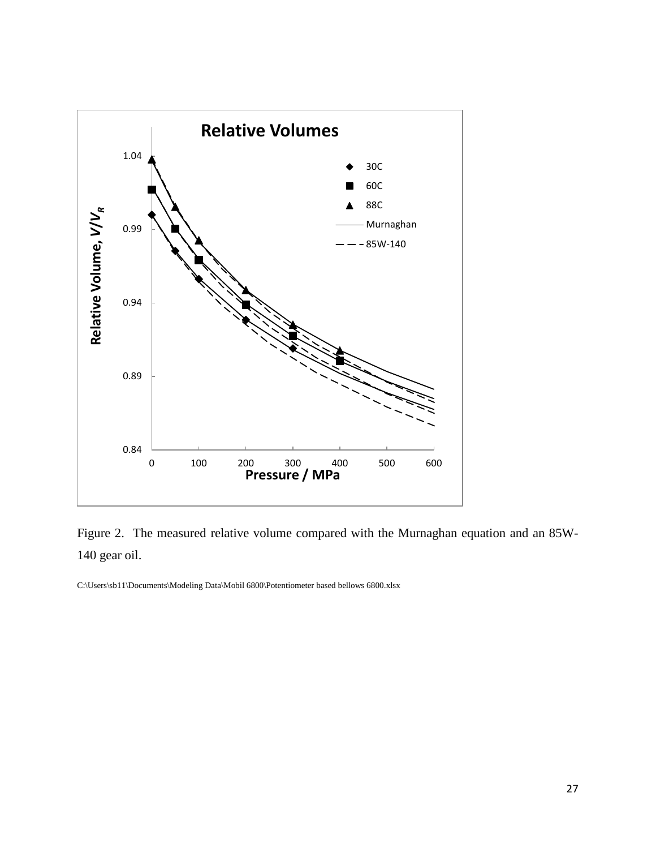

Figure 2. The measured relative volume compared with the Murnaghan equation and an 85W-140 gear oil.

C:\Users\sb11\Documents\Modeling Data\Mobil 6800\Potentiometer based bellows 6800.xlsx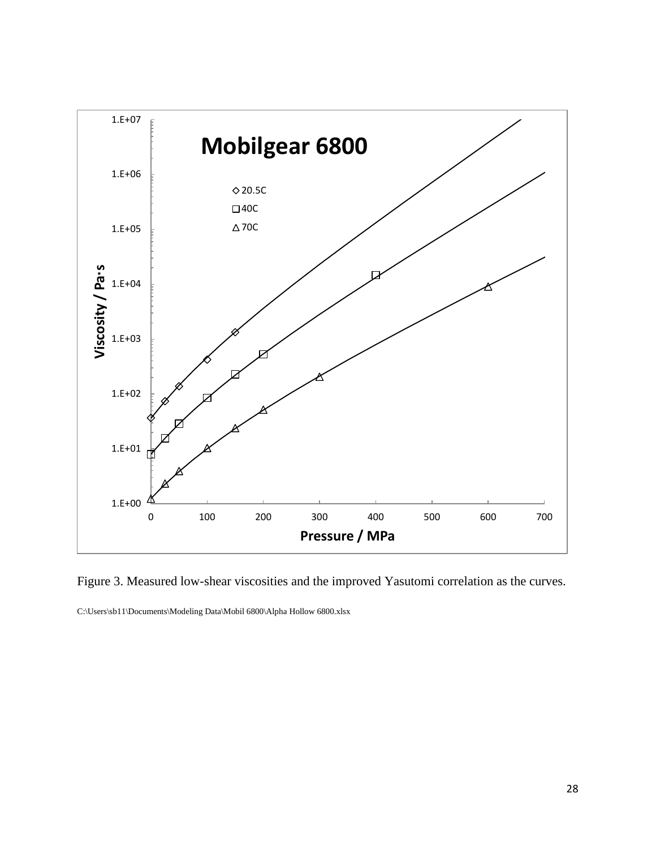

Figure 3. Measured low-shear viscosities and the improved Yasutomi correlation as the curves.

C:\Users\sb11\Documents\Modeling Data\Mobil 6800\Alpha Hollow 6800.xlsx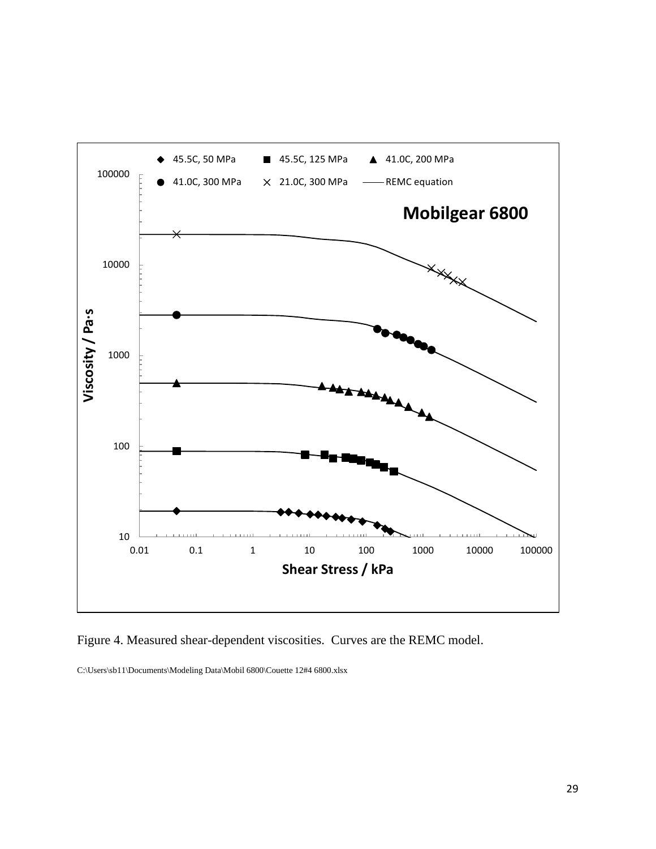

Figure 4. Measured shear-dependent viscosities. Curves are the REMC model.

C:\Users\sb11\Documents\Modeling Data\Mobil 6800\Couette 12#4 6800.xlsx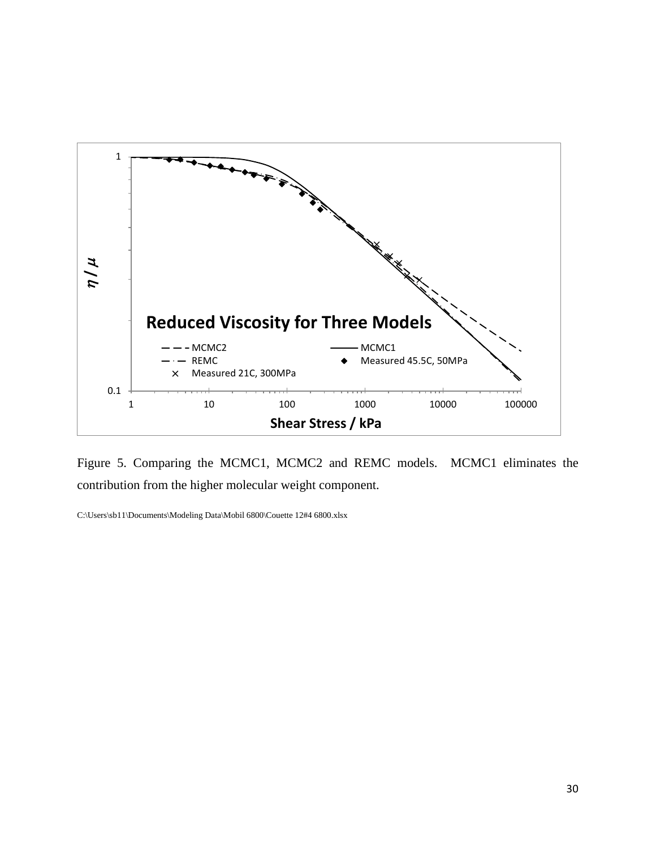

Figure 5. Comparing the MCMC1, MCMC2 and REMC models. MCMC1 eliminates the contribution from the higher molecular weight component.

C:\Users\sb11\Documents\Modeling Data\Mobil 6800\Couette 12#4 6800.xlsx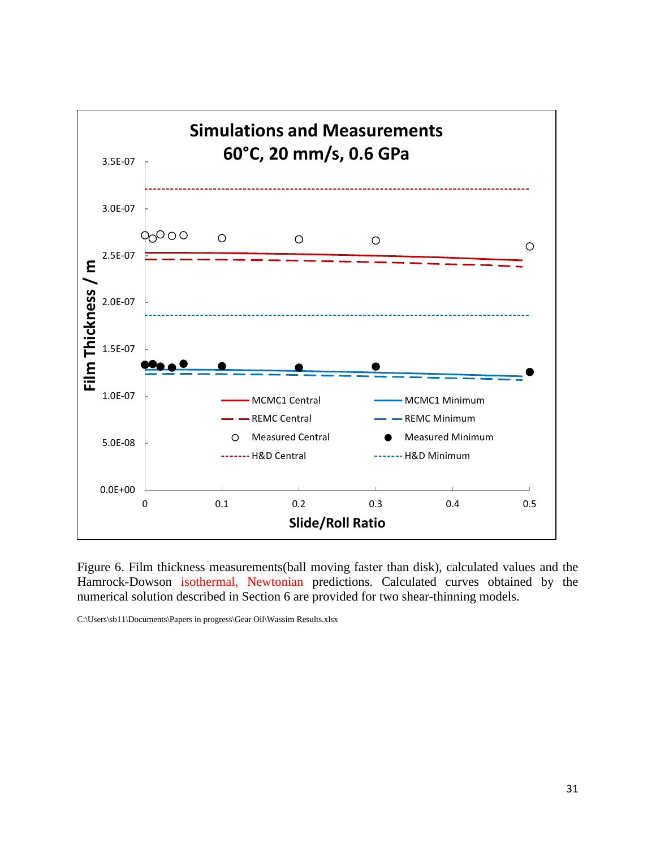

Figure 6. Film thickness measurements(ball moving faster than disk), calculated values and the Hamrock-Dowson isothermal, Newtonian predictions. Calculated curves obtained by the numerical solution described in Section 6 are provided for two shear-thinning models.

C:\Users\sb11\Documents\Papers in progress\Gear Oil\Wassim Results.xlsx